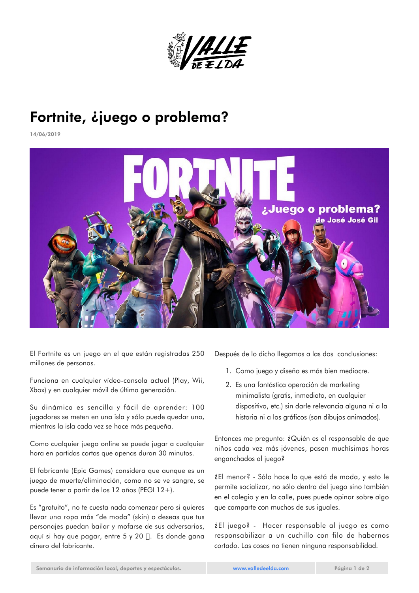

## Fortnite, ¿juego o problema?

14/06/2019



El Fortnite es un juego en el que están registradas 250 millones de personas.

Funciona en cualquier vídeo-consola actual (Play, Wii, Xbox) y en cualquier móvil de última generación.

Su dinámica es sencilla y fácil de aprender: 100 jugadores se meten en una isla y sólo puede quedar uno, mientras la isla cada vez se hace más pequeña.

Como cualquier juego online se puede jugar a cualquier hora en partidas cortas que apenas duran 30 minutos.

El fabricante (Epic Games) considera que aunque es un juego de muerte/eliminación, como no se ve sangre, se puede tener a partir de los 12 años (PEGI 12+).

Es "gratuito", no te cuesta nada comenzar pero si quieres llevar una ropa más "de moda" (skin) o deseas que tus personajes puedan bailar y mofarse de sus adversarios, aquí si hay que pagar, entre 5 y 20  $\Box$ . Es donde gana dinero del fabricante.

Después de lo dicho llegamos a las dos conclusiones:

- 1. Como juego y diseño es más bien mediocre.
- 2. Es una fantástica operación de marketing minimalista (gratis, inmediato, en cualquier dispositivo, etc.) sin darle relevancia alguna ni a la historia ni a los gráficos (son dibujos animados).

Entonces me pregunto: ¿Quién es el responsable de que niños cada vez más jóvenes, pasen muchísimas horas enganchados al juego?

¿El menor? - Sólo hace lo que está de moda, y esto le permite socializar, no sólo dentro del juego sino también en el colegio y en la calle, pues puede opinar sobre algo que comparte con muchos de sus iguales.

¿El juego? - Hacer responsable al juego es como responsabilizar a un cuchillo con filo de habernos cortado. Las cosas no tienen ninguna responsabilidad.